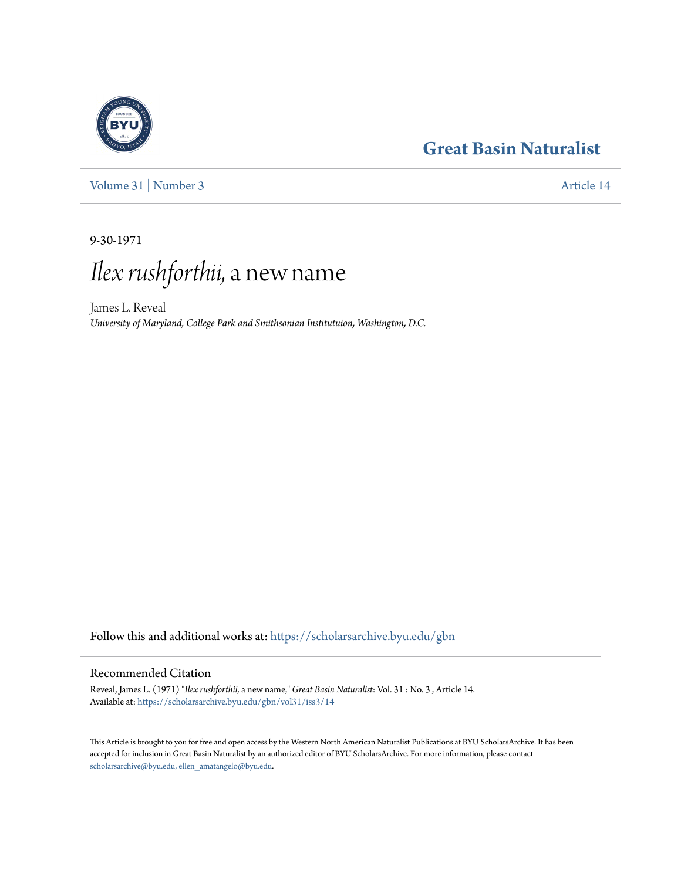# **[Great Basin Naturalist](https://scholarsarchive.byu.edu/gbn?utm_source=scholarsarchive.byu.edu%2Fgbn%2Fvol31%2Fiss3%2F14&utm_medium=PDF&utm_campaign=PDFCoverPages)**



[Volume 31](https://scholarsarchive.byu.edu/gbn/vol31?utm_source=scholarsarchive.byu.edu%2Fgbn%2Fvol31%2Fiss3%2F14&utm_medium=PDF&utm_campaign=PDFCoverPages) | [Number 3](https://scholarsarchive.byu.edu/gbn/vol31/iss3?utm_source=scholarsarchive.byu.edu%2Fgbn%2Fvol31%2Fiss3%2F14&utm_medium=PDF&utm_campaign=PDFCoverPages) [Article 14](https://scholarsarchive.byu.edu/gbn/vol31/iss3/14?utm_source=scholarsarchive.byu.edu%2Fgbn%2Fvol31%2Fiss3%2F14&utm_medium=PDF&utm_campaign=PDFCoverPages)

9-30-1971

# *Ilex rushforthii,*a new name

James L. Reveal *University of Maryland, College Park and Smithsonian Institutuion, Washington, D.C.*

Follow this and additional works at: [https://scholarsarchive.byu.edu/gbn](https://scholarsarchive.byu.edu/gbn?utm_source=scholarsarchive.byu.edu%2Fgbn%2Fvol31%2Fiss3%2F14&utm_medium=PDF&utm_campaign=PDFCoverPages)

# Recommended Citation

Reveal, James L. (1971) "*Ilex rushforthii,* a new name," *Great Basin Naturalist*: Vol. 31 : No. 3 , Article 14. Available at: [https://scholarsarchive.byu.edu/gbn/vol31/iss3/14](https://scholarsarchive.byu.edu/gbn/vol31/iss3/14?utm_source=scholarsarchive.byu.edu%2Fgbn%2Fvol31%2Fiss3%2F14&utm_medium=PDF&utm_campaign=PDFCoverPages)

This Article is brought to you for free and open access by the Western North American Naturalist Publications at BYU ScholarsArchive. It has been accepted for inclusion in Great Basin Naturalist by an authorized editor of BYU ScholarsArchive. For more information, please contact [scholarsarchive@byu.edu, ellen\\_amatangelo@byu.edu.](mailto:scholarsarchive@byu.edu,%20ellen_amatangelo@byu.edu)